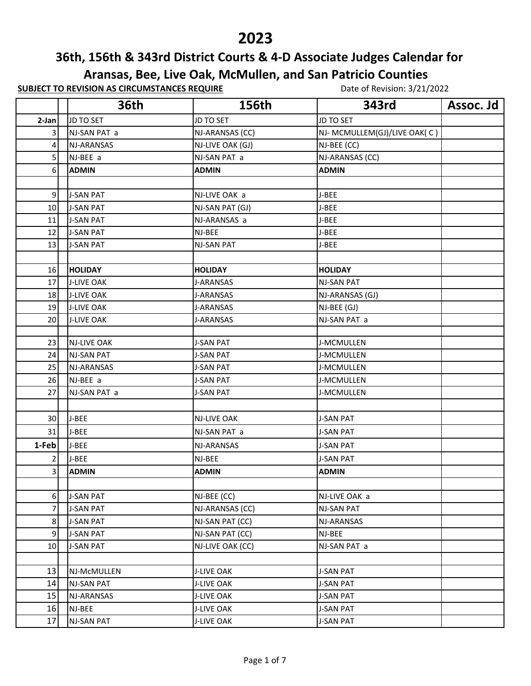## 

## **36th, 156th & 343rd District Courts & 4-D Associate Judges Calendar for**

**Aransas, Bee, Live Oak, McMullen, and San Patricio Counties**

**SUBJECT TO REVISION AS CIRCUMSTANCES REQUIRE** Date of Revision: 3/21/2022

|       | <b>36th</b>        | 156th              | 343rd                        | Assoc. Jd |
|-------|--------------------|--------------------|------------------------------|-----------|
| 2-Jan | JD TO SET          | JD TO SET          | <b>JD TO SET</b>             |           |
| 3     | NJ-SAN PAT a       | NJ-ARANSAS (CC)    | NJ- MCMULLEM(GJ)/LIVE OAK(C) |           |
| 4     | NJ-ARANSAS         | NJ-LIVE OAK (GJ)   | NJ-BEE (CC)                  |           |
| 5     | NJ-BEE a           | NJ-SAN PAT a       | NJ-ARANSAS (CC)              |           |
| 6     | <b>ADMIN</b>       | <b>ADMIN</b>       | <b>ADMIN</b>                 |           |
|       |                    |                    |                              |           |
| 9     | <b>J-SAN PAT</b>   | NJ-LIVE OAK a      | J-BEE                        |           |
| 10    | <b>J-SAN PAT</b>   | NJ-SAN PAT (GJ)    | J-BEE                        |           |
| 11    | <b>J-SAN PAT</b>   | NJ-ARANSAS a       | J-BEE                        |           |
| 12    | <b>J-SAN PAT</b>   | NJ-BEE             | J-BEE                        |           |
| 13    | <b>J-SAN PAT</b>   | <b>NJ-SAN PAT</b>  | J-BEE                        |           |
|       |                    |                    |                              |           |
| 16    | <b>HOLIDAY</b>     | <b>HOLIDAY</b>     | <b>HOLIDAY</b>               |           |
| 17    | <b>J-LIVE OAK</b>  | J-ARANSAS          | <b>NJ-SAN PAT</b>            |           |
| 18    | <b>J-LIVE OAK</b>  | <b>J-ARANSAS</b>   | NJ-ARANSAS (GJ)              |           |
| 19    | <b>J-LIVE OAK</b>  | J-ARANSAS          | NJ-BEE (GJ)                  |           |
| 20    | <b>J-LIVE OAK</b>  | J-ARANSAS          | NJ-SAN PAT a                 |           |
|       |                    |                    |                              |           |
| 23    | <b>NJ-LIVE OAK</b> | <b>J-SAN PAT</b>   | J-MCMULLEN                   |           |
| 24    | <b>NJ-SAN PAT</b>  | <b>J-SAN PAT</b>   | J-MCMULLEN                   |           |
| 25    | NJ-ARANSAS         | <b>J-SAN PAT</b>   | J-MCMULLEN                   |           |
| 26    | NJ-BEE a           | <b>J-SAN PAT</b>   | J-MCMULLEN                   |           |
| 27    | NJ-SAN PAT a       | <b>J-SAN PAT</b>   | J-MCMULLEN                   |           |
|       |                    |                    |                              |           |
| 30    | J-BEE              | <b>NJ-LIVE OAK</b> | <b>J-SAN PAT</b>             |           |
| 31    | J-BEE              | NJ-SAN PAT a       | <b>J-SAN PAT</b>             |           |
| 1-Feb | J-BEE              | NJ-ARANSAS         | <b>J-SAN PAT</b>             |           |
|       | J-BEE              | NJ-BEE             | <b>J-SAN PAT</b>             |           |
| 3     | <b>ADMIN</b>       | <b>ADMIN</b>       | <b>ADMIN</b>                 |           |
|       |                    |                    |                              |           |
| 6     | <b>J-SAN PAT</b>   | NJ-BEE (CC)        | NJ-LIVE OAK a                |           |
|       | <b>J-SAN PAT</b>   | NJ-ARANSAS (CC)    | <b>NJ-SAN PAT</b>            |           |
| 8     | <b>J-SAN PAT</b>   | NJ-SAN PAT (CC)    | NJ-ARANSAS                   |           |
| 9     | <b>J-SAN PAT</b>   | NJ-SAN PAT (CC)    | NJ-BEE                       |           |
| 10    | <b>J-SAN PAT</b>   | NJ-LIVE OAK (CC)   | NJ-SAN PAT a                 |           |
|       |                    |                    |                              |           |
| 13    | NJ-McMULLEN        | <b>J-LIVE OAK</b>  | <b>J-SAN PAT</b>             |           |
| 14    | <b>NJ-SAN PAT</b>  | J-LIVE OAK         | <b>J-SAN PAT</b>             |           |
| 15    | NJ-ARANSAS         | <b>J-LIVE OAK</b>  | <b>J-SAN PAT</b>             |           |
| 16    | NJ-BEE             | <b>J-LIVE OAK</b>  | <b>J-SAN PAT</b>             |           |
| 17    | <b>NJ-SAN PAT</b>  | <b>J-LIVE OAK</b>  | <b>J-SAN PAT</b>             |           |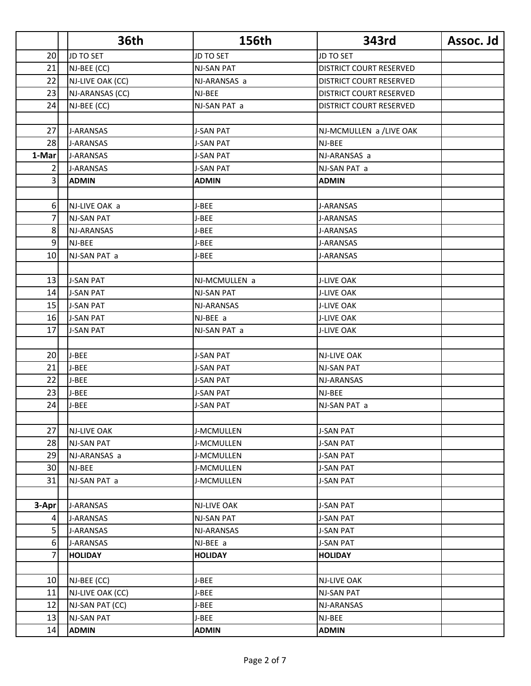|                | <b>36th</b>       | 156th             | 343rd                          | Assoc. Jd |
|----------------|-------------------|-------------------|--------------------------------|-----------|
| 20             | JD TO SET         | JD TO SET         | <b>JD TO SET</b>               |           |
| 21             | NJ-BEE (CC)       | <b>NJ-SAN PAT</b> | DISTRICT COURT RESERVED        |           |
| 22             | NJ-LIVE OAK (CC)  | NJ-ARANSAS a      | DISTRICT COURT RESERVED        |           |
| 23             | NJ-ARANSAS (CC)   | NJ-BEE            | <b>DISTRICT COURT RESERVED</b> |           |
| 24             | NJ-BEE (CC)       | NJ-SAN PAT a      | DISTRICT COURT RESERVED        |           |
|                |                   |                   |                                |           |
| 27             | <b>J-ARANSAS</b>  | <b>J-SAN PAT</b>  | NJ-MCMULLEN a /LIVE OAK        |           |
| 28             | <b>J-ARANSAS</b>  | <b>J-SAN PAT</b>  | NJ-BEE                         |           |
| 1-Mar          | <b>J-ARANSAS</b>  | <b>J-SAN PAT</b>  | NJ-ARANSAS a                   |           |
| 2              | J-ARANSAS         | <b>J-SAN PAT</b>  | NJ-SAN PAT a                   |           |
| $\overline{3}$ | <b>ADMIN</b>      | <b>ADMIN</b>      | <b>ADMIN</b>                   |           |
|                |                   |                   |                                |           |
| 6              | NJ-LIVE OAK a     | J-BEE             | J-ARANSAS                      |           |
| 7              | <b>NJ-SAN PAT</b> | J-BEE             | <b>J-ARANSAS</b>               |           |
| 8              | NJ-ARANSAS        | J-BEE             | J-ARANSAS                      |           |
| 9              | NJ-BEE            | J-BEE             | J-ARANSAS                      |           |
| 10             | NJ-SAN PAT a      | J-BEE             | <b>J-ARANSAS</b>               |           |
|                |                   |                   |                                |           |
| 13             | <b>J-SAN PAT</b>  | NJ-MCMULLEN a     | <b>J-LIVE OAK</b>              |           |
| 14             | <b>J-SAN PAT</b>  | <b>NJ-SAN PAT</b> | <b>J-LIVE OAK</b>              |           |
| 15             | <b>J-SAN PAT</b>  | NJ-ARANSAS        | <b>J-LIVE OAK</b>              |           |
| 16             | <b>J-SAN PAT</b>  | NJ-BEE a          | <b>J-LIVE OAK</b>              |           |
| 17             | <b>J-SAN PAT</b>  | NJ-SAN PAT a      | <b>J-LIVE OAK</b>              |           |
|                |                   |                   |                                |           |
| 20             | J-BEE             | <b>J-SAN PAT</b>  | <b>NJ-LIVE OAK</b>             |           |
| 21             | J-BEE             | <b>J-SAN PAT</b>  | <b>NJ-SAN PAT</b>              |           |
| 22             | J-BEE             | J-SAN PAT         | NJ-ARANSAS                     |           |
| 23             | J-BEE             | <b>J-SAN PAT</b>  | NJ-BEE                         |           |
| 24             | J-BEE             | <b>J-SAN PAT</b>  | NJ-SAN PAT a                   |           |
|                |                   |                   |                                |           |
| 27             | NJ-LIVE OAK       | J-MCMULLEN        | <b>J-SAN PAT</b>               |           |
| 28             | NJ-SAN PAT        | J-MCMULLEN        | J-SAN PAT                      |           |
| 29             | NJ-ARANSAS a      | J-MCMULLEN        | <b>J-SAN PAT</b>               |           |
| 30             | NJ-BEE            | J-MCMULLEN        | <b>J-SAN PAT</b>               |           |
| 31             | NJ-SAN PAT a      | J-MCMULLEN        | <b>J-SAN PAT</b>               |           |
|                |                   |                   |                                |           |
| 3-Apr          | J-ARANSAS         | NJ-LIVE OAK       | <b>J-SAN PAT</b>               |           |
| 4              | J-ARANSAS         | <b>NJ-SAN PAT</b> | <b>J-SAN PAT</b>               |           |
| 5              | J-ARANSAS         | NJ-ARANSAS        | J-SAN PAT                      |           |
| 6              | J-ARANSAS         | NJ-BEE a          | <b>J-SAN PAT</b>               |           |
| 7              | <b>HOLIDAY</b>    | <b>HOLIDAY</b>    | <b>HOLIDAY</b>                 |           |
|                |                   |                   |                                |           |
| 10             | NJ-BEE (CC)       | J-BEE             | NJ-LIVE OAK                    |           |
| 11             | NJ-LIVE OAK (CC)  | J-BEE             | <b>NJ-SAN PAT</b>              |           |
| 12             | NJ-SAN PAT (CC)   | J-BEE             | NJ-ARANSAS                     |           |
| 13             | <b>NJ-SAN PAT</b> | J-BEE             | NJ-BEE                         |           |
| 14             | <b>ADMIN</b>      | <b>ADMIN</b>      | <b>ADMIN</b>                   |           |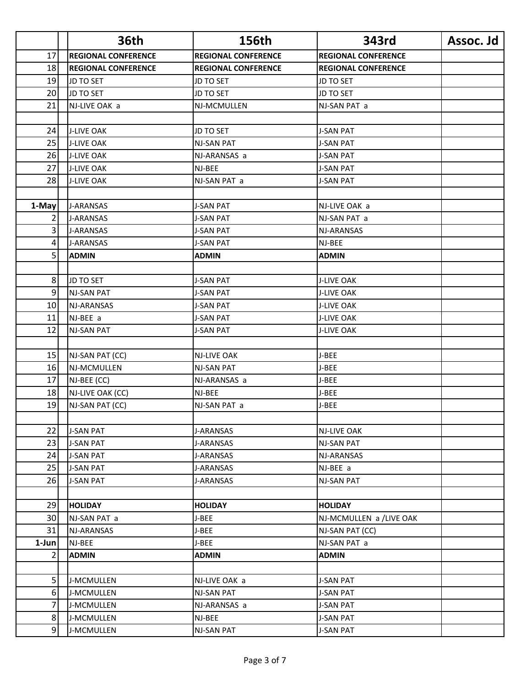|                | <b>36th</b>                | 156th                      | 343rd                      | Assoc. Jd |
|----------------|----------------------------|----------------------------|----------------------------|-----------|
| 17             | <b>REGIONAL CONFERENCE</b> | <b>REGIONAL CONFERENCE</b> | <b>REGIONAL CONFERENCE</b> |           |
| 18             | <b>REGIONAL CONFERENCE</b> | <b>REGIONAL CONFERENCE</b> | <b>REGIONAL CONFERENCE</b> |           |
| 19             | JD TO SET                  | <b>JD TO SET</b>           | JD TO SET                  |           |
| 20             | JD TO SET                  | <b>JD TO SET</b>           | <b>JD TO SET</b>           |           |
| 21             | NJ-LIVE OAK a              | NJ-MCMULLEN                | NJ-SAN PAT a               |           |
|                |                            |                            |                            |           |
| 24             | <b>J-LIVE OAK</b>          | JD TO SET                  | <b>J-SAN PAT</b>           |           |
| 25             | <b>J-LIVE OAK</b>          | <b>NJ-SAN PAT</b>          | <b>J-SAN PAT</b>           |           |
| 26             | <b>J-LIVE OAK</b>          | NJ-ARANSAS a               | <b>J-SAN PAT</b>           |           |
| 27             | <b>J-LIVE OAK</b>          | NJ-BEE                     | <b>J-SAN PAT</b>           |           |
| 28             | <b>J-LIVE OAK</b>          | NJ-SAN PAT a               | <b>J-SAN PAT</b>           |           |
|                |                            |                            |                            |           |
| 1-May          | <b>J-ARANSAS</b>           | <b>J-SAN PAT</b>           | NJ-LIVE OAK a              |           |
| 2              | <b>J-ARANSAS</b>           | <b>J-SAN PAT</b>           | NJ-SAN PAT a               |           |
| 3              | J-ARANSAS                  | <b>J-SAN PAT</b>           | NJ-ARANSAS                 |           |
| 4              | <b>J-ARANSAS</b>           | <b>J-SAN PAT</b>           | NJ-BEE                     |           |
| 5 <sup>1</sup> | <b>ADMIN</b>               | ADMIN                      | <b>ADMIN</b>               |           |
|                |                            |                            |                            |           |
| 8              | JD TO SET                  | <b>J-SAN PAT</b>           | <b>J-LIVE OAK</b>          |           |
| 9              | <b>NJ-SAN PAT</b>          | <b>J-SAN PAT</b>           | J-LIVE OAK                 |           |
| 10             | <b>NJ-ARANSAS</b>          | <b>J-SAN PAT</b>           | <b>J-LIVE OAK</b>          |           |
| 11             | NJ-BEE a                   | J-SAN PAT                  | <b>J-LIVE OAK</b>          |           |
| 12             | NJ-SAN PAT                 | <b>J-SAN PAT</b>           | <b>J-LIVE OAK</b>          |           |
|                |                            |                            |                            |           |
| 15             | NJ-SAN PAT (CC)            | <b>NJ-LIVE OAK</b>         | J-BEE                      |           |
| 16             | NJ-MCMULLEN                | <b>NJ-SAN PAT</b>          | J-BEE                      |           |
| 17             | NJ-BEE (CC)                | NJ-ARANSAS a               | J-BEE                      |           |
| 18             | NJ-LIVE OAK (CC)           | NJ-BEE                     | J-BEE                      |           |
| 19             | NJ-SAN PAT (CC)            | NJ-SAN PAT a               | J-BEE                      |           |
|                |                            |                            |                            |           |
| 22             | <b>J-SAN PAT</b>           | J-ARANSAS                  | <b>NJ-LIVE OAK</b>         |           |
| 23             | <b>J-SAN PAT</b>           | J-ARANSAS                  | <b>NJ-SAN PAT</b>          |           |
| 24             | <b>J-SAN PAT</b>           | J-ARANSAS                  | NJ-ARANSAS                 |           |
| 25             | <b>J-SAN PAT</b>           | J-ARANSAS                  | NJ-BEE a                   |           |
| 26             | <b>J-SAN PAT</b>           | J-ARANSAS                  | <b>NJ-SAN PAT</b>          |           |
|                |                            |                            |                            |           |
| 29             | <b>HOLIDAY</b>             | <b>HOLIDAY</b>             | <b>HOLIDAY</b>             |           |
| 30             | NJ-SAN PAT a               | J-BEE                      | NJ-MCMULLEN a /LIVE OAK    |           |
| 31             | NJ-ARANSAS                 | J-BEE                      | NJ-SAN PAT (CC)            |           |
| 1-Jun          | NJ-BEE                     | J-BEE                      | NJ-SAN PAT a               |           |
| 2              | <b>ADMIN</b>               | <b>ADMIN</b>               | <b>ADMIN</b>               |           |
|                |                            |                            |                            |           |
| 5 <sup>1</sup> | J-MCMULLEN                 | NJ-LIVE OAK a              | <b>J-SAN PAT</b>           |           |
| 6              | J-MCMULLEN                 | NJ-SAN PAT                 | J-SAN PAT                  |           |
| 7              | J-MCMULLEN                 | NJ-ARANSAS a               | <b>J-SAN PAT</b>           |           |
| 8              | J-MCMULLEN                 | NJ-BEE                     | <b>J-SAN PAT</b>           |           |
| 9 <sub>l</sub> | J-MCMULLEN                 | NJ-SAN PAT                 | <b>J-SAN PAT</b>           |           |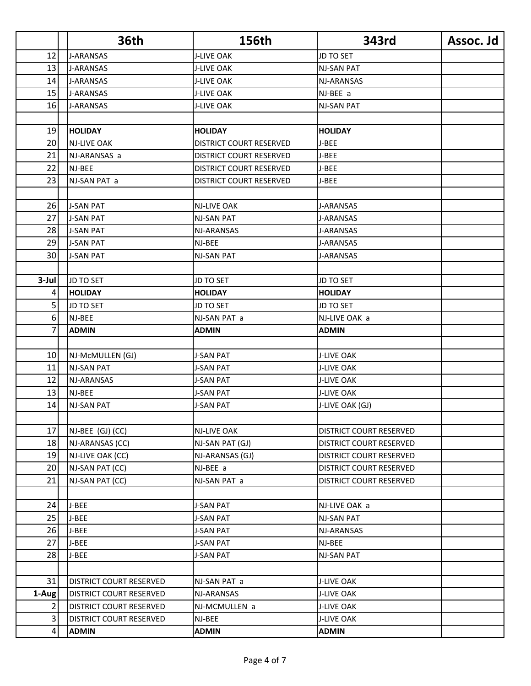|       | <b>36th</b>                    | 156th                   | 343rd                          | Assoc. Jd |
|-------|--------------------------------|-------------------------|--------------------------------|-----------|
| 12    | <b>J-ARANSAS</b>               | <b>J-LIVE OAK</b>       | <b>JD TO SET</b>               |           |
| 13    | J-ARANSAS                      | <b>J-LIVE OAK</b>       | <b>NJ-SAN PAT</b>              |           |
| 14    | <b>J-ARANSAS</b>               | <b>J-LIVE OAK</b>       | NJ-ARANSAS                     |           |
| 15    | <b>J-ARANSAS</b>               | <b>J-LIVE OAK</b>       | NJ-BEE a                       |           |
| 16    | J-ARANSAS                      | <b>J-LIVE OAK</b>       | NJ-SAN PAT                     |           |
|       |                                |                         |                                |           |
| 19    | <b>HOLIDAY</b>                 | <b>HOLIDAY</b>          | <b>HOLIDAY</b>                 |           |
| 20    | <b>NJ-LIVE OAK</b>             | DISTRICT COURT RESERVED | J-BEE                          |           |
| 21    | NJ-ARANSAS a                   | DISTRICT COURT RESERVED | J-BEE                          |           |
| 22    | NJ-BEE                         | DISTRICT COURT RESERVED | J-BEE                          |           |
| 23    | NJ-SAN PAT a                   | DISTRICT COURT RESERVED | J-BEE                          |           |
|       |                                |                         |                                |           |
| 26    | <b>J-SAN PAT</b>               | <b>NJ-LIVE OAK</b>      | <b>J-ARANSAS</b>               |           |
| 27    | <b>J-SAN PAT</b>               | <b>NJ-SAN PAT</b>       | <b>J-ARANSAS</b>               |           |
| 28    | <b>J-SAN PAT</b>               | NJ-ARANSAS              | <b>J-ARANSAS</b>               |           |
| 29    | <b>J-SAN PAT</b>               | NJ-BEE                  | <b>J-ARANSAS</b>               |           |
| 30    | <b>J-SAN PAT</b>               | <b>NJ-SAN PAT</b>       | J-ARANSAS                      |           |
|       |                                |                         |                                |           |
| 3-Jul | JD TO SET                      | JD TO SET               | <b>JD TO SET</b>               |           |
| 4     | <b>HOLIDAY</b>                 | <b>HOLIDAY</b>          | <b>HOLIDAY</b>                 |           |
| 5     | JD TO SET                      | <b>JD TO SET</b>        | <b>JD TO SET</b>               |           |
| 6     | NJ-BEE                         | NJ-SAN PAT a            | NJ-LIVE OAK a                  |           |
| 7     | <b>ADMIN</b>                   | <b>ADMIN</b>            | <b>ADMIN</b>                   |           |
|       |                                |                         |                                |           |
| 10    | NJ-McMULLEN (GJ)               | <b>J-SAN PAT</b>        | <b>J-LIVE OAK</b>              |           |
| 11    | NJ-SAN PAT                     | <b>J-SAN PAT</b>        | <b>J-LIVE OAK</b>              |           |
| 12    | NJ-ARANSAS                     | <b>J-SAN PAT</b>        | <b>J-LIVE OAK</b>              |           |
| 13    | NJ-BEE                         | <b>J-SAN PAT</b>        | <b>J-LIVE OAK</b>              |           |
| 14    | <b>NJ-SAN PAT</b>              | <b>J-SAN PAT</b>        | J-LIVE OAK (GJ)                |           |
|       |                                |                         |                                |           |
| 17    | NJ-BEE (GJ) (CC)               | NJ-LIVE OAK             | <b>DISTRICT COURT RESERVED</b> |           |
| 18    | NJ-ARANSAS (CC)                | NJ-SAN PAT (GJ)         | DISTRICT COURT RESERVED        |           |
| 19    | NJ-LIVE OAK (CC)               | NJ-ARANSAS (GJ)         | DISTRICT COURT RESERVED        |           |
| 20    | NJ-SAN PAT (CC)                | NJ-BEE a                | DISTRICT COURT RESERVED        |           |
| 21    | NJ-SAN PAT (CC)                | NJ-SAN PAT a            | DISTRICT COURT RESERVED        |           |
|       |                                |                         |                                |           |
| 24    | J-BEE                          | J-SAN PAT               | NJ-LIVE OAK a                  |           |
| 25    | J-BEE                          | <b>J-SAN PAT</b>        | NJ-SAN PAT                     |           |
| 26    | J-BEE                          | <b>J-SAN PAT</b>        | NJ-ARANSAS                     |           |
| 27    | J-BEE                          | <b>J-SAN PAT</b>        | NJ-BEE                         |           |
| 28    | J-BEE                          | <b>J-SAN PAT</b>        | <b>NJ-SAN PAT</b>              |           |
|       |                                |                         |                                |           |
| 31    | <b>DISTRICT COURT RESERVED</b> | NJ-SAN PAT a            | <b>J-LIVE OAK</b>              |           |
| 1-Aug | <b>DISTRICT COURT RESERVED</b> | NJ-ARANSAS              | J-LIVE OAK                     |           |
| 2     | DISTRICT COURT RESERVED        | NJ-MCMULLEN a           | <b>J-LIVE OAK</b>              |           |
| 3     | DISTRICT COURT RESERVED        | NJ-BEE                  | <b>J-LIVE OAK</b>              |           |
| 4     | <b>ADMIN</b>                   | ADMIN                   | <b>ADMIN</b>                   |           |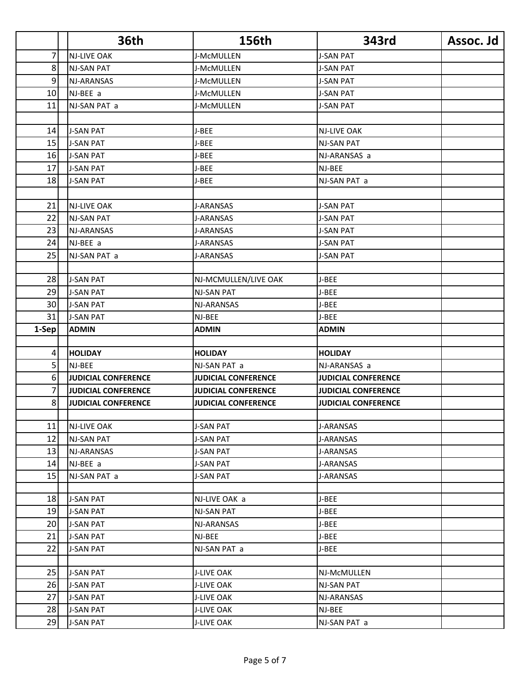|        | <b>36th</b>                | 156th                      | 343rd                      | Assoc. Jd |
|--------|----------------------------|----------------------------|----------------------------|-----------|
| 7      | <b>NJ-LIVE OAK</b>         | J-McMULLEN                 | <b>J-SAN PAT</b>           |           |
| 8      | <b>NJ-SAN PAT</b>          | J-McMULLEN                 | <b>J-SAN PAT</b>           |           |
| 9      | NJ-ARANSAS                 | J-McMULLEN                 | <b>J-SAN PAT</b>           |           |
| 10     | NJ-BEE a                   | J-McMULLEN                 | <b>J-SAN PAT</b>           |           |
| 11     | NJ-SAN PAT a               | J-McMULLEN                 | <b>J-SAN PAT</b>           |           |
|        |                            |                            |                            |           |
| 14     | <b>J-SAN PAT</b>           | J-BEE                      | <b>NJ-LIVE OAK</b>         |           |
| 15     | <b>J-SAN PAT</b>           | J-BEE                      | <b>NJ-SAN PAT</b>          |           |
| 16     | <b>J-SAN PAT</b>           | J-BEE                      | NJ-ARANSAS a               |           |
| 17     | <b>J-SAN PAT</b>           | J-BEE                      | NJ-BEE                     |           |
| 18     | <b>J-SAN PAT</b>           | J-BEE                      | NJ-SAN PAT a               |           |
|        |                            |                            |                            |           |
| 21     | <b>NJ-LIVE OAK</b>         | <b>J-ARANSAS</b>           | <b>J-SAN PAT</b>           |           |
| 22     | <b>NJ-SAN PAT</b>          | <b>J-ARANSAS</b>           | <b>J-SAN PAT</b>           |           |
| 23     | <b>NJ-ARANSAS</b>          | <b>J-ARANSAS</b>           | <b>J-SAN PAT</b>           |           |
| 24     | NJ-BEE a                   | <b>J-ARANSAS</b>           | <b>J-SAN PAT</b>           |           |
| 25     | NJ-SAN PAT a               | J-ARANSAS                  | <b>J-SAN PAT</b>           |           |
|        |                            |                            |                            |           |
| 28     | <b>J-SAN PAT</b>           | NJ-MCMULLEN/LIVE OAK       | J-BEE                      |           |
| 29     | <b>J-SAN PAT</b>           | <b>NJ-SAN PAT</b>          | J-BEE                      |           |
| 30     | <b>J-SAN PAT</b>           | NJ-ARANSAS                 | J-BEE                      |           |
| 31     | <b>J-SAN PAT</b>           | NJ-BEE                     | J-BEE                      |           |
| 1-Sep  | <b>ADMIN</b>               | <b>ADMIN</b>               | <b>ADMIN</b>               |           |
|        |                            |                            |                            |           |
| 4      | <b>HOLIDAY</b>             | <b>HOLIDAY</b>             | <b>HOLIDAY</b>             |           |
| 5      | NJ-BEE                     | NJ-SAN PAT a               | NJ-ARANSAS a               |           |
| 6      | <b>JUDICIAL CONFERENCE</b> | <b>JUDICIAL CONFERENCE</b> | <b>JUDICIAL CONFERENCE</b> |           |
| 7<br>8 | <b>JUDICIAL CONFERENCE</b> | <b>JUDICIAL CONFERENCE</b> | <b>JUDICIAL CONFERENCE</b> |           |
|        | <b>JUDICIAL CONFERENCE</b> | <b>JUDICIAL CONFERENCE</b> | <b>JUDICIAL CONFERENCE</b> |           |
| 11     | <b>NJ-LIVE OAK</b>         | <b>J-SAN PAT</b>           | J-ARANSAS                  |           |
| 12     | NJ-SAN PAT                 | <b>J-SAN PAT</b>           | <b>J-ARANSAS</b>           |           |
| 13     | NJ-ARANSAS                 | <b>J-SAN PAT</b>           | J-ARANSAS                  |           |
| 14     | NJ-BEE a                   | J-SAN PAT                  | J-ARANSAS                  |           |
| 15     | NJ-SAN PAT a               | <b>J-SAN PAT</b>           | J-ARANSAS                  |           |
|        |                            |                            |                            |           |
| 18     | <b>J-SAN PAT</b>           | NJ-LIVE OAK a              | J-BEE                      |           |
| 19     | <b>J-SAN PAT</b>           | <b>NJ-SAN PAT</b>          | J-BEE                      |           |
| 20     | <b>J-SAN PAT</b>           | NJ-ARANSAS                 | J-BEE                      |           |
| 21     | <b>J-SAN PAT</b>           | NJ-BEE                     | J-BEE                      |           |
| 22     | <b>J-SAN PAT</b>           | NJ-SAN PAT a               | J-BEE                      |           |
|        |                            |                            |                            |           |
| 25     | <b>J-SAN PAT</b>           | <b>J-LIVE OAK</b>          | NJ-McMULLEN                |           |
| 26     | <b>J-SAN PAT</b>           | J-LIVE OAK                 | <b>NJ-SAN PAT</b>          |           |
| 27     | <b>J-SAN PAT</b>           | <b>J-LIVE OAK</b>          | NJ-ARANSAS                 |           |
| 28     | <b>J-SAN PAT</b>           | <b>J-LIVE OAK</b>          | NJ-BEE                     |           |
| 29     | <b>J-SAN PAT</b>           | J-LIVE OAK                 | NJ-SAN PAT a               |           |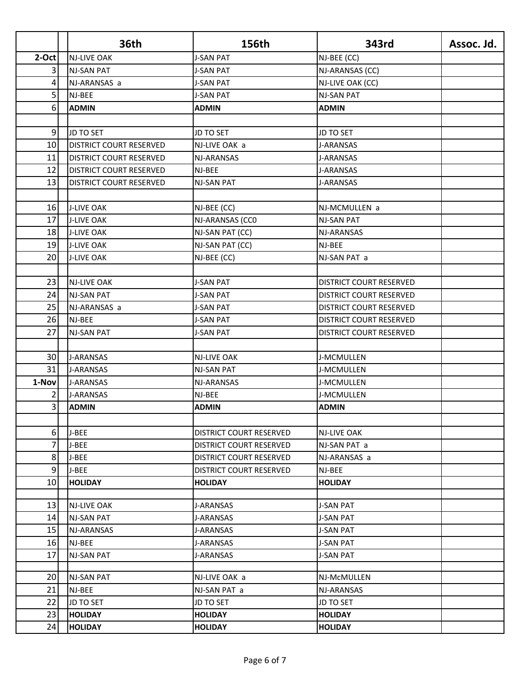|         | <b>36th</b>                    | 156th                          | 343rd                   | Assoc. Jd. |
|---------|--------------------------------|--------------------------------|-------------------------|------------|
| $2-Oct$ | <b>NJ-LIVE OAK</b>             | <b>J-SAN PAT</b>               | NJ-BEE (CC)             |            |
| 3       | NJ-SAN PAT                     | <b>J-SAN PAT</b>               | NJ-ARANSAS (CC)         |            |
| 4       | NJ-ARANSAS a                   | <b>J-SAN PAT</b>               | NJ-LIVE OAK (CC)        |            |
| 5       | NJ-BEE                         | <b>J-SAN PAT</b>               | <b>NJ-SAN PAT</b>       |            |
| 6       | <b>ADMIN</b>                   | <b>ADMIN</b>                   | <b>ADMIN</b>            |            |
|         |                                |                                |                         |            |
| 9       | JD TO SET                      | <b>JD TO SET</b>               | JD TO SET               |            |
| 10      | <b>DISTRICT COURT RESERVED</b> | NJ-LIVE OAK a                  | <b>J-ARANSAS</b>        |            |
| 11      | <b>DISTRICT COURT RESERVED</b> | NJ-ARANSAS                     | J-ARANSAS               |            |
| 12      | <b>DISTRICT COURT RESERVED</b> | NJ-BEE                         | J-ARANSAS               |            |
| 13      | <b>DISTRICT COURT RESERVED</b> | <b>NJ-SAN PAT</b>              | <b>J-ARANSAS</b>        |            |
|         |                                |                                |                         |            |
| 16      | <b>J-LIVE OAK</b>              | NJ-BEE (CC)                    | NJ-MCMULLEN a           |            |
| 17      | <b>J-LIVE OAK</b>              | NJ-ARANSAS (CCO                | <b>NJ-SAN PAT</b>       |            |
| 18      | <b>J-LIVE OAK</b>              | NJ-SAN PAT (CC)                | NJ-ARANSAS              |            |
| 19      | <b>J-LIVE OAK</b>              | NJ-SAN PAT (CC)                | NJ-BEE                  |            |
| 20      | <b>J-LIVE OAK</b>              | NJ-BEE (CC)                    | NJ-SAN PAT a            |            |
|         |                                |                                |                         |            |
| 23      | <b>NJ-LIVE OAK</b>             | <b>J-SAN PAT</b>               | DISTRICT COURT RESERVED |            |
| 24      | <b>NJ-SAN PAT</b>              | J-SAN PAT                      | DISTRICT COURT RESERVED |            |
| 25      | NJ-ARANSAS a                   | <b>J-SAN PAT</b>               | DISTRICT COURT RESERVED |            |
| 26      | NJ-BEE                         | <b>J-SAN PAT</b>               | DISTRICT COURT RESERVED |            |
| 27      | <b>NJ-SAN PAT</b>              | <b>J-SAN PAT</b>               | DISTRICT COURT RESERVED |            |
|         |                                |                                |                         |            |
| 30      | <b>J-ARANSAS</b>               | <b>NJ-LIVE OAK</b>             | J-MCMULLEN              |            |
| 31      | <b>J-ARANSAS</b>               | <b>NJ-SAN PAT</b>              | J-MCMULLEN              |            |
| 1-Nov   | <b>J-ARANSAS</b>               | NJ-ARANSAS                     | J-MCMULLEN              |            |
| 2       | <b>J-ARANSAS</b>               | NJ-BEE                         | J-MCMULLEN              |            |
| 3       | <b>ADMIN</b>                   | <b>ADMIN</b>                   | <b>ADMIN</b>            |            |
|         |                                |                                |                         |            |
| 6       | J-BEE                          | <b>DISTRICT COURT RESERVED</b> | <b>NJ-LIVE OAK</b>      |            |
| 7       | J-BEE                          | DISTRICT COURT RESERVED        | NJ-SAN PAT a            |            |
| 8       | J-BEE                          | <b>DISTRICT COURT RESERVED</b> | NJ-ARANSAS a            |            |
| 9       | J-BEE                          | DISTRICT COURT RESERVED        | NJ-BEE                  |            |
| 10      | <b>HOLIDAY</b>                 | <b>HOLIDAY</b>                 | <b>HOLIDAY</b>          |            |
|         |                                |                                |                         |            |
| 13      | <b>NJ-LIVE OAK</b>             | J-ARANSAS                      | <b>J-SAN PAT</b>        |            |
| 14      | <b>NJ-SAN PAT</b>              | J-ARANSAS                      | <b>J-SAN PAT</b>        |            |
| 15      | NJ-ARANSAS                     | J-ARANSAS                      | <b>J-SAN PAT</b>        |            |
| 16      | NJ-BEE                         | J-ARANSAS                      | <b>J-SAN PAT</b>        |            |
| 17      | NJ-SAN PAT                     | J-ARANSAS                      | <b>J-SAN PAT</b>        |            |
|         |                                |                                |                         |            |
| 20      | <b>NJ-SAN PAT</b>              | NJ-LIVE OAK a                  | NJ-McMULLEN             |            |
| 21      | NJ-BEE                         | NJ-SAN PAT a                   | NJ-ARANSAS              |            |
| 22      | JD TO SET                      | <b>JD TO SET</b>               | <b>JD TO SET</b>        |            |
| 23      | <b>HOLIDAY</b>                 | <b>HOLIDAY</b>                 | <b>HOLIDAY</b>          |            |
| 24      | <b>HOLIDAY</b>                 | <b>HOLIDAY</b>                 | <b>HOLIDAY</b>          |            |